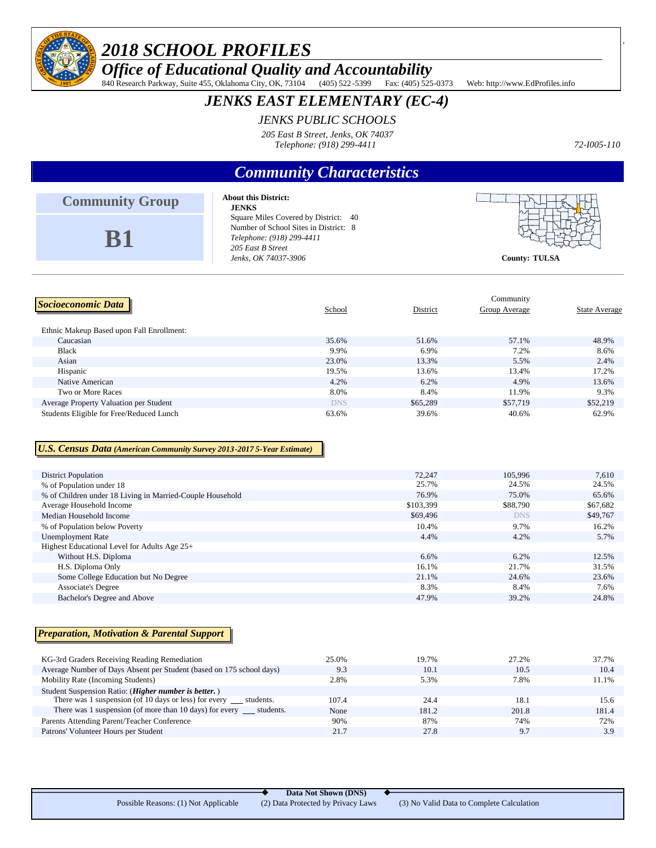

# *2018 SCHOOL PROFILES*

*Office of Educational Quality and Accountability*

840 Research Parkway, Suite 455, Oklahoma City, OK, 73104 (405) 522-5399 Fax: (405) 525-0373 Web: http://www.EdProfiles.info

## *JENKS EAST ELEMENTARY (EC-4)*

### *JENKS PUBLIC SCHOOLS*

*205 East B Street, Jenks, OK 74037 Telephone: (918) 299-4411*

*72-I005-110*

# *Community Characteristics*

| <b>Community Group</b>                    | <b>About this District:</b><br><b>JENKS</b>                                                                                                             |          |                            |                      |
|-------------------------------------------|---------------------------------------------------------------------------------------------------------------------------------------------------------|----------|----------------------------|----------------------|
| <b>B1</b>                                 | Square Miles Covered by District: 40<br>Number of School Sites in District: 8<br>Telephone: (918) 299-4411<br>205 East B Street<br>Jenks, OK 74037-3906 |          | <b>County: TULSA</b>       |                      |
| Socioeconomic Data                        | School                                                                                                                                                  | District | Community<br>Group Average | <b>State Average</b> |
| Ethnic Makeup Based upon Fall Enrollment: |                                                                                                                                                         |          |                            |                      |
| Caucasian                                 | 35.6%                                                                                                                                                   | 51.6%    | 57.1%                      | 48.9%                |
| <b>Black</b>                              | 9.9%                                                                                                                                                    | 6.9%     | 7.2%                       | 8.6%                 |

Asian 23.0% 13.3% 5.5% 2.4% 2.4% Hispanic 200 and 200 and 200 and 200 and 200 and 200 and 200 and 200 and 200 and 200 and 200 and 200 and 200 and 200 and 200 and 200 and 200 and 200 and 200 and 200 and 200 and 200 and 200 and 200 and 200 and 200 and 200 a Native American **13.6%** 13.6% 13.6% 13.6% 13.6% 13.6% 13.6% 13.6% 13.6% 13.6% 13.6% 13.6% 13.6% 13.6% 13.6% 13.6% Two or More Races 8.0% 8.4% 11.9% 9.3% 9.3% Average Property Valuation per Student Student DNS 555,289 \$57,719 \$52,219 Students Eligible for Free/Reduced Lunch 62.9% 62.9% 39.6% 39.6% 40.6% 40.6% 62.9%

### *U.S. Census Data (American Community Survey 2013-2017 5-Year Estimate)*

| 72,247    | 105,996    | 7,610    |
|-----------|------------|----------|
| 25.7%     | 24.5%      | 24.5%    |
| 76.9%     | 75.0%      | 65.6%    |
| \$103,399 | \$88,790   | \$67,682 |
| \$69,496  | <b>DNS</b> | \$49,767 |
| 10.4%     | 9.7%       | 16.2%    |
| 4.4%      | 4.2%       | 5.7%     |
|           |            |          |
| 6.6%      | 6.2%       | 12.5%    |
| 16.1%     | 21.7%      | 31.5%    |
| 21.1%     | 24.6%      | 23.6%    |
| 8.3%      | 8.4%       | 7.6%     |
| 47.9%     | 39.2%      | 24.8%    |
|           |            |          |

#### *Preparation, Motivation & Parental Support*

| KG-3rd Graders Receiving Reading Remediation                         | 25.0% | 19.7% | 27.2% | 37.7% |
|----------------------------------------------------------------------|-------|-------|-------|-------|
| Average Number of Days Absent per Student (based on 175 school days) | 9.3   | 10.1  | 10.5  | 10.4  |
| Mobility Rate (Incoming Students)                                    | 2.8%  | 5.3%  | 7.8%  | 11.1% |
| Student Suspension Ratio: (Higher number is better.)                 |       |       |       |       |
| There was 1 suspension (of 10 days or less) for every students.      | 107.4 | 24.4  | 18.1  | 15.6  |
| There was 1 suspension (of more than 10 days) for every<br>students. | None  | 181.2 | 201.8 | 181.4 |
| Parents Attending Parent/Teacher Conference                          | 90%   | 87%   | 74%   | 72%   |
| Patrons' Volunteer Hours per Student                                 | 21.7  | 27.8  | 9.7   | 3.9   |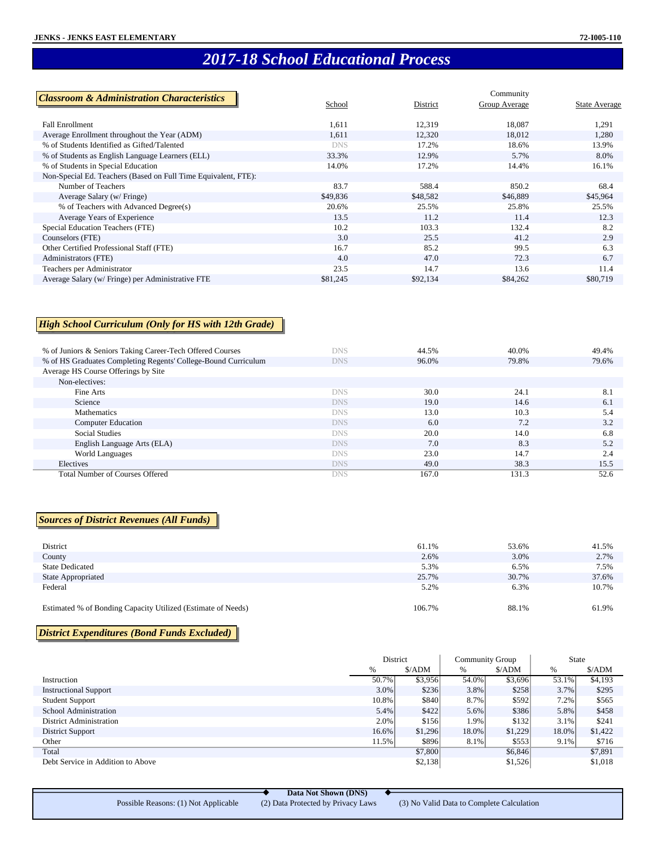# *2017-18 School Educational Process*

| <b>Classroom &amp; Administration Characteristics</b>          |          |          | Community     |               |
|----------------------------------------------------------------|----------|----------|---------------|---------------|
|                                                                | School   | District | Group Average | State Average |
|                                                                |          |          |               |               |
| <b>Fall Enrollment</b>                                         | 1,611    | 12,319   | 18,087        | 1,291         |
| Average Enrollment throughout the Year (ADM)                   | 1,611    | 12,320   | 18,012        | 1,280         |
| % of Students Identified as Gifted/Talented                    | DNS      | 17.2%    | 18.6%         | 13.9%         |
| % of Students as English Language Learners (ELL)               | 33.3%    | 12.9%    | 5.7%          | 8.0%          |
| % of Students in Special Education                             | 14.0%    | 17.2%    | 14.4%         | 16.1%         |
| Non-Special Ed. Teachers (Based on Full Time Equivalent, FTE): |          |          |               |               |
| Number of Teachers                                             | 83.7     | 588.4    | 850.2         | 68.4          |
| Average Salary (w/ Fringe)                                     | \$49,836 | \$48,582 | \$46,889      | \$45,964      |
| % of Teachers with Advanced Degree(s)                          | 20.6%    | 25.5%    | 25.8%         | 25.5%         |
| Average Years of Experience                                    | 13.5     | 11.2     | 11.4          | 12.3          |
| Special Education Teachers (FTE)                               | 10.2     | 103.3    | 132.4         | 8.2           |
| Counselors (FTE)                                               | 3.0      | 25.5     | 41.2          | 2.9           |
| Other Certified Professional Staff (FTE)                       | 16.7     | 85.2     | 99.5          | 6.3           |
| Administrators (FTE)                                           | 4.0      | 47.0     | 72.3          | 6.7           |
| Teachers per Administrator                                     | 23.5     | 14.7     | 13.6          | 11.4          |
| Average Salary (w/ Fringe) per Administrative FTE              | \$81,245 | \$92,134 | \$84,262      | \$80,719      |

### *High School Curriculum (Only for HS with 12th Grade)*

| % of Juniors & Seniors Taking Career-Tech Offered Courses      | <b>DNS</b> | 44.5% | 40.0% | 49.4% |
|----------------------------------------------------------------|------------|-------|-------|-------|
| % of HS Graduates Completing Regents' College-Bound Curriculum | <b>DNS</b> | 96.0% | 79.8% | 79.6% |
| Average HS Course Offerings by Site                            |            |       |       |       |
| Non-electives:                                                 |            |       |       |       |
| Fine Arts                                                      | <b>DNS</b> | 30.0  | 24.1  | 8.1   |
| Science                                                        | <b>DNS</b> | 19.0  | 14.6  | 6.1   |
| <b>Mathematics</b>                                             | <b>DNS</b> | 13.0  | 10.3  | 5.4   |
| <b>Computer Education</b>                                      | <b>DNS</b> | 6.0   | 7.2   | 3.2   |
| <b>Social Studies</b>                                          | <b>DNS</b> | 20.0  | 14.0  | 6.8   |
| English Language Arts (ELA)                                    | <b>DNS</b> | 7.0   | 8.3   | 5.2   |
| World Languages                                                | <b>DNS</b> | 23.0  | 14.7  | 2.4   |
| Electives                                                      | <b>DNS</b> | 49.0  | 38.3  | 15.5  |
| <b>Total Number of Courses Offered</b>                         | DNS        | 167.0 | 131.3 | 52.6  |

#### *Sources of District Revenues (All Funds)*

| District                                                     | 61.1%  | 53.6% | 41.5% |
|--------------------------------------------------------------|--------|-------|-------|
| County                                                       | 2.6%   | 3.0%  | 2.7%  |
| <b>State Dedicated</b>                                       | 5.3%   | 6.5%  | 7.5%  |
| State Appropriated                                           | 25.7%  | 30.7% | 37.6% |
| Federal                                                      | 5.2%   | 6.3%  | 10.7% |
| Estimated % of Bonding Capacity Utilized (Estimate of Needs) | 106.7% | 88.1% | 61.9% |

### *District Expenditures (Bond Funds Excluded)*

Ĭ

|                                   | District |                               | <b>Community Group</b> |         | <b>State</b> |         |
|-----------------------------------|----------|-------------------------------|------------------------|---------|--------------|---------|
|                                   | %        | $\frac{\text{S}}{\text{ADM}}$ | %                      | \$/ADM  | $\%$         | \$/ADM  |
| Instruction                       | 50.7%    | \$3,956                       | 54.0%                  | \$3,696 | 53.1%        | \$4,193 |
| <b>Instructional Support</b>      | $3.0\%$  | \$236                         | 3.8%                   | \$258   | $3.7\%$      | \$295   |
| <b>Student Support</b>            | 10.8%    | \$840                         | 8.7%                   | \$592   | 7.2%         | \$565   |
| School Administration             | $5.4\%$  | \$422                         | 5.6%                   | \$386   | 5.8%         | \$458   |
| <b>District Administration</b>    | $2.0\%$  | \$156                         | 1.9%                   | \$132   | $3.1\%$      | \$241   |
| District Support                  | $16.6\%$ | \$1,296                       | 18.0%                  | \$1,229 | 18.0%        | \$1,422 |
| Other                             | 11.5%    | \$896                         | 8.1%                   | \$553   | $9.1\%$      | \$716   |
| Total                             |          | \$7,800                       |                        | \$6,846 |              | \$7,891 |
| Debt Service in Addition to Above |          | \$2,138                       |                        | \$1,526 |              | \$1,018 |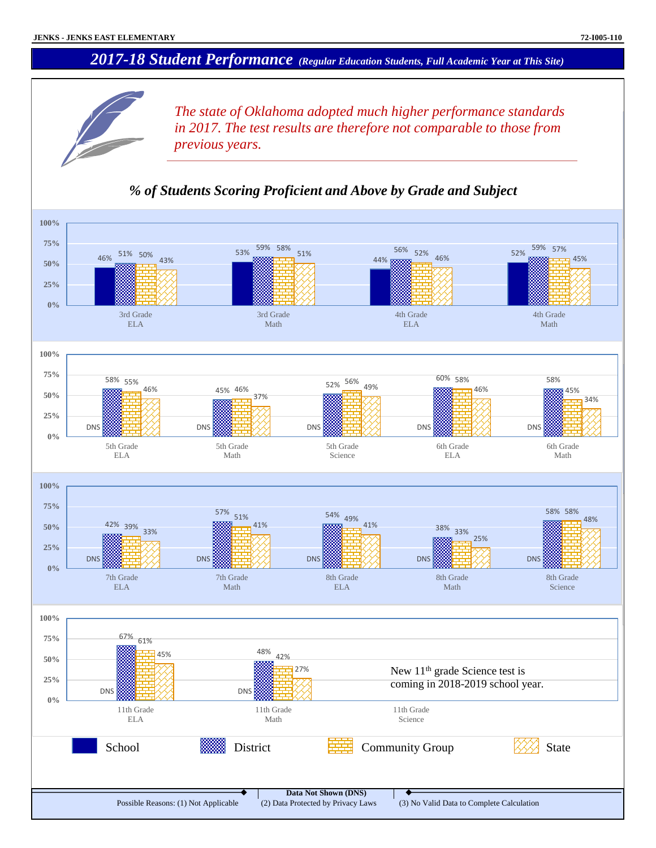## *2017-18 Student Performance (Regular Education Students, Full Academic Year at This Site)*



*The state of Oklahoma adopted much higher performance standards in 2017. The test results are therefore not comparable to those from previous years.*